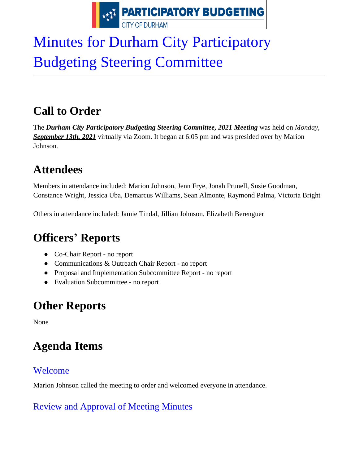

# Minutes for Durham City Participatory Budgeting Steering Committee

# **Call to Order**

The **Durham City Participatory Budgeting Steering Committee, 2021 Meeting** was held on *Monday*, *September 13th, 2021* virtually via Zoom. It began at 6:05 pm and was presided over by Marion Johnson.

### **Attendees**

Members in attendance included: Marion Johnson, Jenn Frye, Jonah Prunell, Susie Goodman, Constance Wright, Jessica Uba, Demarcus Williams, Sean Almonte, Raymond Palma, Victoria Bright

Others in attendance included: Jamie Tindal, Jillian Johnson, Elizabeth Berenguer

# **Officers' Reports**

- Co-Chair Report no report
- Communications & Outreach Chair Report no report
- Proposal and Implementation Subcommittee Report no report
- Evaluation Subcommittee no report

### **Other Reports**

None

# **Agenda Items**

### Welcome

Marion Johnson called the meeting to order and welcomed everyone in attendance.

### Review and Approval of Meeting Minutes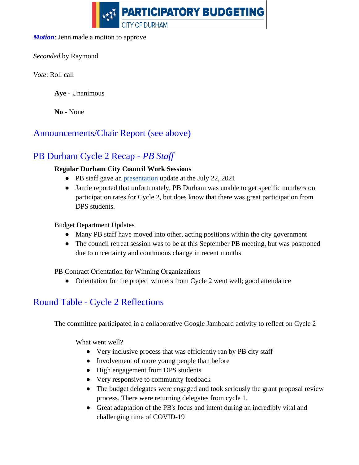

#### *Motion*: Jenn made a motion to approve

*Seconded* by Raymond

*Vote*: Roll call

**Aye** - Unanimous

**No** - None

#### Announcements/Chair Report (see above)

#### PB Durham Cycle 2 Recap - *PB Staff*

#### **Regular Durham City Council Work Sessions**

- PB staff gave an <u>[presentation](https://www.youtube.com/watch?v=1m8qcyPK2GU&t=3536s)</u> update at the July 22, 2021
- Jamie reported that unfortunately, PB Durham was unable to get specific numbers on participation rates for Cycle 2, but does know that there was great participation from DPS students.

Budget Department Updates

- Many PB staff have moved into other, acting positions within the city government
- The council retreat session was to be at this September PB meeting, but was postponed due to uncertainty and continuous change in recent months

PB Contract Orientation for Winning Organizations

• Orientation for the project winners from Cycle 2 went well; good attendance

#### Round Table - Cycle 2 Reflections

The committee participated in a collaborative Google Jamboard activity to reflect on Cycle 2

What went well?

- Very inclusive process that was efficiently ran by PB city staff
- Involvement of more young people than before
- High engagement from DPS students
- Very responsive to community feedback
- The budget delegates were engaged and took seriously the grant proposal review process. There were returning delegates from cycle 1.
- Great adaptation of the PB's focus and intent during an incredibly vital and challenging time of COVID-19